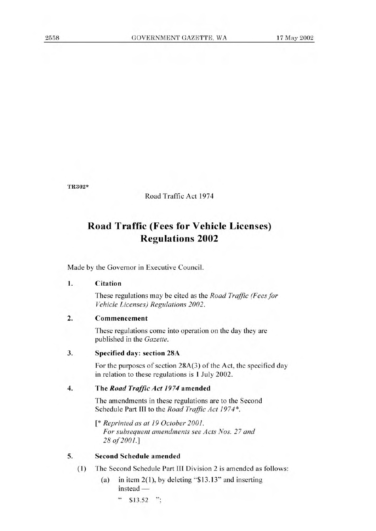**TR302\*** 

Road Traffic Act 1974

# **Road Traffic (Fees for Vehicle Licenses) Regulations 2002**

Made by the Governor in Executive Council.

## **1. Citation**

These regulations may be cited as the *Road Traffic (Fees for Vehicle Licenses) Regulations 2002.* 

### **2. Commencement**

These regulations come into operation on the day they are published in the *Gazette.* 

#### **3. Specified** day: section 28A

For the purposes of section 28A(3) of the Act, the specified day in relation to these regulations is 1 July 2002.

#### **4. The** *Road Traffic Act 1974* amended

The amendments in these regulations are to the Second Schedule Part III to the *Road Traffic Act 1974\*.* 

*[\* Reprinted as at 19 October 2001. For subsequent amendments see Acts Nos. 27 and 28 of 2001.]* 

## **5. Second Schedule amended**

- **(1)** The Second Schedule Part **III** Division 2 is amended as follows:
	- (a) in item  $2(1)$ , by deleting "\$13.13" and inserting instead —
		- " \$13.52 ";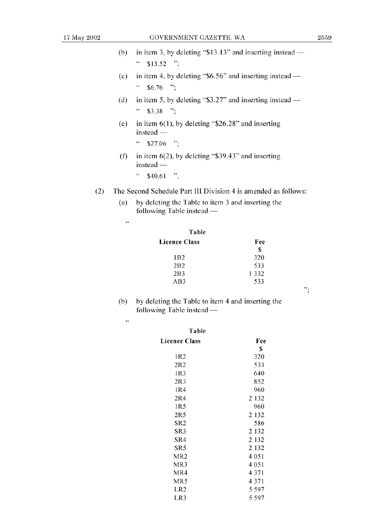";

| (b) in item 3, by deleting " $$13.13"$ and inserting instead — |
|----------------------------------------------------------------|
| $"$ \$13.52 ";                                                 |

- (c) in item 4, by deleting "\$6.56" and inserting instead  $\degree$  \$6.76 ";
- (d) in item 5, by deleting " $$3.27"$  and inserting instead  $44$  \$3.38 ";
- (e) in item  $6(1)$ , by deleting "\$26.28" and inserting  $instead -$ 
	- $\cdot \cdot$  \$27.06 ":
- (f) in item  $6(2)$ , by deleting "\$39.43" and inserting  $instead -$

 $\degree$  \$40.61 ".

- (2) The Second Schedule Part III Division 4 is amended as follows:
	- (a) by deleting the Table to item 3 and inserting the  $following$  Table instead  $-$

 $\zeta\zeta$ 

| Fee     |
|---------|
| S       |
| 320     |
| 533     |
| 1 3 3 2 |
| 533     |
|         |

(b) by deleting the Table to item 4 and inserting the following Table instead -

 $\zeta\zeta$ 

| Table                |         |
|----------------------|---------|
| <b>Licence Class</b> | Fee     |
|                      | S       |
| 1R2                  | 320     |
| 2R2                  | 533     |
| 1R3                  | 640     |
| 2R <sub>3</sub>      | 852     |
| 1R4                  | 960     |
| 2R <sub>4</sub>      | 2 1 3 2 |
| 1R5                  | 960     |
| 2R5                  | 2 1 3 2 |
| SR <sub>2</sub>      | 586     |
| SR3                  | 2 1 3 2 |
| SR4                  | 2 1 3 2 |
| SR5                  | 2 1 3 2 |
| MR <sub>2</sub>      | 4 0 5 1 |
| MR3                  | 4 0 5 1 |
| MR4                  | 4371    |
| MR5                  | 4371    |
| LR <sub>2</sub>      | 5 5 9 7 |
| LR3                  | 5 5 9 7 |